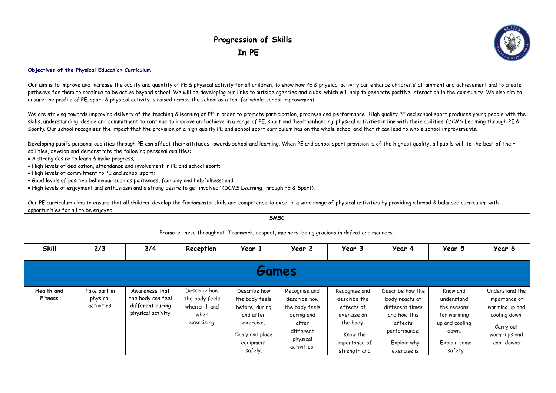## **Objectives of the Physical Education Curriculum**

Our aim is to improve and increase the quality and quantity of PE & physical activity for all children, to show how PE & physical activity can enhance children's' attainment and achievement and to create pathways for them to continue to be active beyond school. We will be developing our links to outside agencies and clubs, which will help to generate positive interaction in the community. We also aim to ensure the profile of PE, sport & physical activity is raised across the school as a tool for whole-school improvement

We are striving towards improving delivery of the teaching & learning of PE in order to promote participation, progress and performance. 'High quality PE and school sport produces young people with the skills, understanding, desire and commitment to continue to improve and achieve in a range of PE, sport and 'healthenhancing' physical activities in line with their abilities' (DCMS Learning through PE & Sport). Our school recognises the impact that the provision of a high quality PE and school sport curriculum has on the whole school and that it can lead to whole school improvements.

Developing pupil's personal qualities through PE can affect their attitudes towards school and learning. When PE and school sport provision is of the highest quality, all pupils will, to the best of their abilities, develop and demonstrate the following personal qualities:

• A strong desire to learn & make progress;

• High levels of dedication, attendance and involvement in PE and school sport;

• High levels of commitment to PE and school sport;

• Good levels of positive behaviour such as politeness, fair play and helpfulness; and

• High levels of enjoyment and enthusiasm and a strong desire to get involved.' (DCMS Learning through PE & Sport).

Our PE curriculum aims to ensure that all children develop the fundamental skills and competence to excel in a wide range of physical activities by providing a broad & balanced curriculum with opportunities for all to be enjoyed.

|                                                                                             |                                        |                                                                              |                                                                         |                                                                                                                       | <b>SMSC</b>                                                                                                    |                                                                                                                      |                                                                                                                                |                                                                                                           |                                                                                                               |  |  |  |  |  |  |
|---------------------------------------------------------------------------------------------|----------------------------------------|------------------------------------------------------------------------------|-------------------------------------------------------------------------|-----------------------------------------------------------------------------------------------------------------------|----------------------------------------------------------------------------------------------------------------|----------------------------------------------------------------------------------------------------------------------|--------------------------------------------------------------------------------------------------------------------------------|-----------------------------------------------------------------------------------------------------------|---------------------------------------------------------------------------------------------------------------|--|--|--|--|--|--|
| Promote these throughout; Teamwork, respect, manners, being gracious in defeat and manners. |                                        |                                                                              |                                                                         |                                                                                                                       |                                                                                                                |                                                                                                                      |                                                                                                                                |                                                                                                           |                                                                                                               |  |  |  |  |  |  |
| <b>Skill</b>                                                                                | 2/3                                    | 3/4                                                                          | Reception                                                               | Year 1                                                                                                                | Year 2                                                                                                         | Year 3                                                                                                               | Year 4                                                                                                                         | Year 5                                                                                                    | Year 6                                                                                                        |  |  |  |  |  |  |
|                                                                                             | Games                                  |                                                                              |                                                                         |                                                                                                                       |                                                                                                                |                                                                                                                      |                                                                                                                                |                                                                                                           |                                                                                                               |  |  |  |  |  |  |
| Health and<br><b>Fitness</b>                                                                | Take part in<br>physical<br>activities | Awareness that<br>the body can feel<br>different during<br>physical activity | Describe how<br>the body feels<br>when still and<br>when<br>exercising. | Describe how<br>the body feels<br>before, during<br>and after<br>exercise.<br>Carry and place<br>equipment<br>safely. | Recognise and<br>describe how<br>the body feels<br>during and<br>after<br>different<br>physical<br>activities. | Recognise and<br>describe the<br>effects of<br>exercise on<br>the body.<br>Know the<br>importance of<br>strength and | Describe how the<br>body reacts at<br>different times<br>and how this<br>affects<br>performance.<br>Explain why<br>exercise is | Know and<br>understand<br>the reasons<br>for warming<br>up and cooling<br>down.<br>Explain some<br>safety | Understand the<br>importance of<br>warming up and<br>cooling down.<br>Carry out<br>warm-ups and<br>cool-downs |  |  |  |  |  |  |

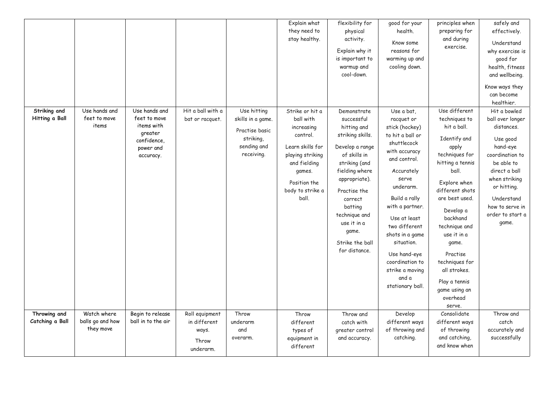|                                 |                                              |                                                                                                 |                                                               |                                                                                              | Explain what<br>they need to                                                                                                                                          | flexibility for<br>physical                                                                                                                                                                                                                                            | good for your<br>health.                                                                                                                                                                                                                                                                                                                    | principles when<br>preparing for                                                                                                                                                                                                                                                                                                         | safely and<br>effectively.                                                                                                                                                                                             |
|---------------------------------|----------------------------------------------|-------------------------------------------------------------------------------------------------|---------------------------------------------------------------|----------------------------------------------------------------------------------------------|-----------------------------------------------------------------------------------------------------------------------------------------------------------------------|------------------------------------------------------------------------------------------------------------------------------------------------------------------------------------------------------------------------------------------------------------------------|---------------------------------------------------------------------------------------------------------------------------------------------------------------------------------------------------------------------------------------------------------------------------------------------------------------------------------------------|------------------------------------------------------------------------------------------------------------------------------------------------------------------------------------------------------------------------------------------------------------------------------------------------------------------------------------------|------------------------------------------------------------------------------------------------------------------------------------------------------------------------------------------------------------------------|
|                                 |                                              |                                                                                                 |                                                               |                                                                                              | stay healthy.                                                                                                                                                         | activity.<br>Explain why it<br>is important to<br>warmup and                                                                                                                                                                                                           | Know some<br>reasons for<br>warming up and<br>cooling down.                                                                                                                                                                                                                                                                                 | and during<br>exercise.                                                                                                                                                                                                                                                                                                                  | Understand<br>why exercise is<br>good for<br>health, fitness                                                                                                                                                           |
|                                 |                                              |                                                                                                 |                                                               |                                                                                              |                                                                                                                                                                       | cool-down.                                                                                                                                                                                                                                                             |                                                                                                                                                                                                                                                                                                                                             |                                                                                                                                                                                                                                                                                                                                          | and wellbeing.<br>Know ways they                                                                                                                                                                                       |
|                                 |                                              |                                                                                                 |                                                               |                                                                                              |                                                                                                                                                                       |                                                                                                                                                                                                                                                                        |                                                                                                                                                                                                                                                                                                                                             |                                                                                                                                                                                                                                                                                                                                          | can become<br>healthier.                                                                                                                                                                                               |
| Striking and<br>Hitting a Ball  | Use hands and<br>feet to move<br>items       | Use hands and<br>feet to move<br>items with<br>greater<br>confidence,<br>power and<br>accuracy. | Hit a ball with a<br>bat or racquet.                          | Use hitting<br>skills in a game.<br>Practise basic<br>striking,<br>sending and<br>receiving. | Strike or hit a<br>ball with<br>increasing<br>control.<br>Learn skills for<br>playing striking<br>and fielding<br>games.<br>Position the<br>body to strike a<br>ball. | Demonstrate<br>successful<br>hitting and<br>striking skills.<br>Develop a range<br>of skills in<br>striking (and<br>fielding where<br>appropriate).<br>Practise the<br>correct<br>batting<br>technique and<br>use it in a<br>game.<br>Strike the ball<br>for distance. | Use a bat,<br>racquet or<br>stick (hockey)<br>to hit a ball or<br>shuttlecock<br>with accuracy<br>and control.<br>Accurately<br>serve<br>underarm.<br>Build a rally<br>with a partner.<br>Use at least<br>two different<br>shots in a game<br>situation.<br>Use hand-eye<br>coordination to<br>strike a moving<br>and a<br>stationary ball. | Use different<br>techniques to<br>hit a ball.<br>Identify and<br>apply<br>techniques for<br>hitting a tennis<br>ball.<br>Explore when<br>different shots<br>are best used.<br>Develop a<br>backhand<br>technique and<br>use it in a<br>game.<br>Practise<br>techniques for<br>all strokes.<br>Play a tennis<br>game using an<br>overhead | Hit a bowled<br>ball over longer<br>distances.<br>Use good<br>hand-eye<br>coordination to<br>be able to<br>direct a ball<br>when striking<br>or hitting.<br>Understand<br>how to serve in<br>order to start a<br>game. |
| Throwing and<br>Catching a Ball | Watch where<br>balls go and how<br>they move | Begin to release<br>ball in to the air                                                          | Roll equipment<br>in different<br>ways.<br>Throw<br>underarm. | Throw<br>underarm<br>and<br>overarm.                                                         | Throw<br>different<br>types of<br>equipment in<br>different                                                                                                           | Throw and<br>catch with<br>greater control<br>and accuracy.                                                                                                                                                                                                            | Develop<br>different ways<br>of throwing and<br>catching.                                                                                                                                                                                                                                                                                   | serve.<br>Consolidate<br>different ways<br>of throwing<br>and catching,<br>and know when                                                                                                                                                                                                                                                 | Throw and<br>catch<br>accurately and<br>successfully                                                                                                                                                                   |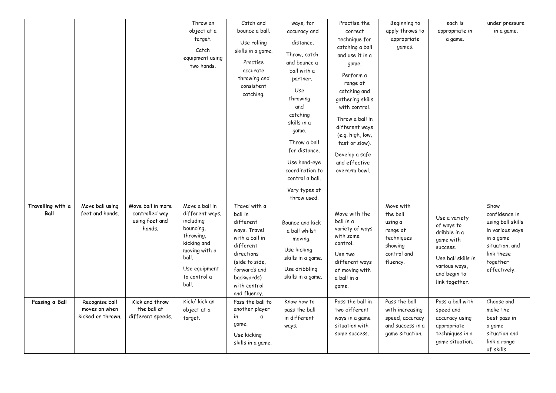|                   |                   |                   | Throw an                      | Catch and                  | ways, for         | Practise the                      | Beginning to          | each is                    | under pressure    |
|-------------------|-------------------|-------------------|-------------------------------|----------------------------|-------------------|-----------------------------------|-----------------------|----------------------------|-------------------|
|                   |                   |                   | object at a                   | bounce a ball.             | accuracy and      | correct                           | apply throws to       | appropriate in             | in a game.        |
|                   |                   |                   | target.                       | Use rolling                | distance.         | technique for<br>catching a ball  | appropriate<br>games. | a game.                    |                   |
|                   |                   |                   | Catch                         | skills in a game.          | Throw, catch      | and use it in a                   |                       |                            |                   |
|                   |                   |                   | equipment using<br>two hands. | Practise                   | and bounce a      | game.                             |                       |                            |                   |
|                   |                   |                   |                               | accurate                   | ball with a       |                                   |                       |                            |                   |
|                   |                   |                   |                               | throwing and               | partner.          | Perform a<br>range of             |                       |                            |                   |
|                   |                   |                   |                               | consistent                 | Use               | catching and                      |                       |                            |                   |
|                   |                   |                   |                               | catching.                  | throwing          | gathering skills                  |                       |                            |                   |
|                   |                   |                   |                               |                            | and               | with control.                     |                       |                            |                   |
|                   |                   |                   |                               |                            | catching          |                                   |                       |                            |                   |
|                   |                   |                   |                               |                            | skills in a       | Throw a ball in<br>different ways |                       |                            |                   |
|                   |                   |                   |                               |                            | game.             | (e.g. high, low,                  |                       |                            |                   |
|                   |                   |                   |                               |                            | Throw a ball      | fast or slow).                    |                       |                            |                   |
|                   |                   |                   |                               |                            | for distance.     | Develop a safe                    |                       |                            |                   |
|                   |                   |                   |                               |                            | Use hand-eye      | and effective                     |                       |                            |                   |
|                   |                   |                   |                               |                            | coordination to   | overarm bowl.                     |                       |                            |                   |
|                   |                   |                   |                               |                            | control a ball.   |                                   |                       |                            |                   |
|                   |                   |                   |                               |                            | Vary types of     |                                   |                       |                            |                   |
| Travelling with a | Move ball using   | Move ball in more | Move a ball in                | Travel with a              | throw used.       |                                   | Move with             |                            | Show              |
| Ball              | feet and hands.   | controlled way    | different ways,               | ball in                    |                   | Move with the                     | the ball              |                            | confidence in     |
|                   |                   | using feet and    | including                     | different                  | Bounce and kick   | ball in a                         | using a               | Use a variety              | using ball skills |
|                   |                   | hands.            | bouncing,                     | ways. Travel               | a ball whilst     | variety of ways                   | range of              | of ways to<br>dribble in a | in various ways   |
|                   |                   |                   | throwing,                     | with a ball in             | moving.           | with some                         | techniques            | game with                  | in a game         |
|                   |                   |                   | kicking and                   | different                  | Use kicking       | control.                          | showing               | success.                   | situation, and    |
|                   |                   |                   | moving with a<br>ball.        | directions                 | skills in a game. | Use two                           | control and           | Use ball skills in         | link these        |
|                   |                   |                   |                               | (side to side,             |                   | different ways                    | fluency.              | various ways,              | together          |
|                   |                   |                   | Use equipment<br>to control a | forwards and               | Use dribbling     | of moving with                    |                       | and begin to               | effectively.      |
|                   |                   |                   | ball.                         | backwards)<br>with control | skills in a game. | a ball in a                       |                       | link together.             |                   |
|                   |                   |                   |                               | and fluency.               |                   | game.                             |                       |                            |                   |
| Passing a Ball    | Recognise ball    | Kick and throw    | Kick/ kick an                 | Pass the ball to           | Know how to       | Pass the ball in                  | Pass the ball         | Pass a ball with           | Choose and        |
|                   | moves on when     | the ball at       | object at a                   | another player             | pass the ball     | two different                     | with increasing       | speed and                  | make the          |
|                   | kicked or thrown. | different speeds. | target.                       | in<br>$\mathfrak a$        | in different      | ways in a game                    | speed, accuracy       | accuracy using             | best pass in      |
|                   |                   |                   |                               | game.                      | ways.             | situation with                    | and success in a      | appropriate                | a game            |
|                   |                   |                   |                               | Use kicking                |                   | some success.                     | game situation.       | techniques in a            | situation and     |
|                   |                   |                   |                               | skills in a game.          |                   |                                   |                       | game situation.            | link a range      |
|                   |                   |                   |                               |                            |                   |                                   |                       |                            | of skills         |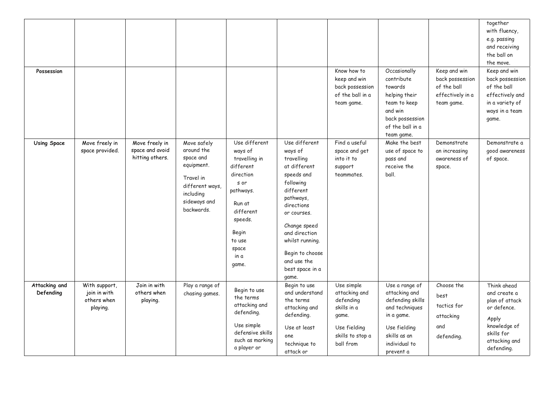| Possession                 |                                                          |                                                      |                                                                                                                                 |                                                                                                                                                                         |                                                                                                                                                                                                                                                            | Know how to<br>keep and win<br>back possession<br>of the ball in a<br>team game.                                  | Occasionally<br>contribute<br>towards<br>helping their<br>team to keep<br>and win<br>back possession<br>of the ball in a<br>team game.            | Keep and win<br>back possession<br>of the ball<br>effectively in a<br>team game. | together<br>with fluency,<br>e.g. passing<br>and receiving<br>the ball on<br>the move.<br>Keep and win<br>back possession<br>of the ball<br>effectively and<br>in a variety of<br>ways in a team<br>game. |
|----------------------------|----------------------------------------------------------|------------------------------------------------------|---------------------------------------------------------------------------------------------------------------------------------|-------------------------------------------------------------------------------------------------------------------------------------------------------------------------|------------------------------------------------------------------------------------------------------------------------------------------------------------------------------------------------------------------------------------------------------------|-------------------------------------------------------------------------------------------------------------------|---------------------------------------------------------------------------------------------------------------------------------------------------|----------------------------------------------------------------------------------|-----------------------------------------------------------------------------------------------------------------------------------------------------------------------------------------------------------|
| <b>Using Space</b>         | Move freely in<br>space provided.                        | Move freely in<br>space and avoid<br>hitting others. | Move safely<br>around the<br>space and<br>equipment.<br>Travel in<br>different ways,<br>including<br>sideways and<br>backwards. | Use different<br>ways of<br>travelling in<br>different<br>direction<br>s or<br>pathways.<br>Run at<br>different<br>speeds.<br>Begin<br>to use<br>space<br>in a<br>game. | Use different<br>ways of<br>travelling<br>at different<br>speeds and<br>following<br>different<br>pathways,<br>directions<br>or courses.<br>Change speed<br>and direction<br>whilst running.<br>Begin to choose<br>and use the<br>best space in a<br>game. | Find a useful<br>space and get<br>into it to<br>support<br>teammates.                                             | Make the best<br>use of space to<br>pass and<br>receive the<br>ball.                                                                              | Demonstrate<br>an increasing<br>awareness of<br>space.                           | Demonstrate a<br>good awareness<br>of space.                                                                                                                                                              |
| Attacking and<br>Defending | With support,<br>join in with<br>others when<br>playing. | Join in with<br>others when<br>playing.              | Play a range of<br>chasing games.                                                                                               | Begin to use<br>the terms<br>attacking and<br>defending.<br>Use simple<br>defensive skills<br>such as marking<br>a player or                                            | Begin to use<br>and understand<br>the terms<br>attacking and<br>defending.<br>Use at least<br>one<br>technique to<br>attack or                                                                                                                             | Use simple<br>attacking and<br>defending<br>skills in a<br>game.<br>Use fielding<br>skills to stop a<br>ball from | Use a range of<br>attacking and<br>defending skills<br>and techniques<br>in a game.<br>Use fielding<br>skills as an<br>individual to<br>prevent a | Choose the<br>best<br>tactics for<br>attacking<br>and<br>defending.              | Think ahead<br>and create a<br>plan of attack<br>or defence.<br>Apply<br>knowledge of<br>skills for<br>attacking and<br>defending.                                                                        |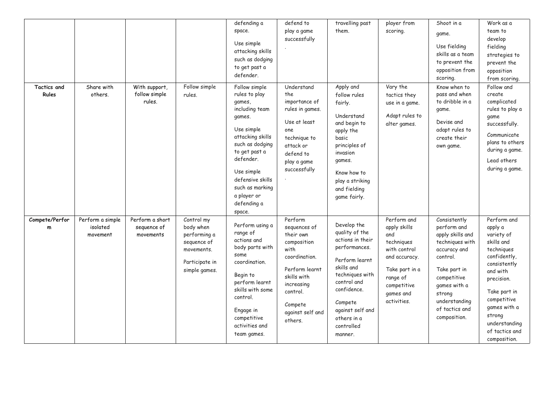| <b>Tactics and</b>  | Share with                               | With support,                               | Follow simple                                                                                           | defending a<br>space.<br>Use simple<br>attacking skills<br>such as dodging<br>to get past a<br>defender.<br>Follow simple                                                                                                           | defend to<br>play a game<br>successfully<br>Understand                                                                                                                            | travelling past<br>them.<br>Apply and                                                                                                                                                                                      | player from<br>scoring.<br>Vary the                                                                                                                        | Shoot in a<br>game.<br>Use fielding<br>skills as a team<br>to prevent the<br>opposition from<br>scoring.<br>Know when to                                                                                   | Work as a<br>team to<br>develop<br>fielding<br>strategies to<br>prevent the<br>opposition<br>from scoring.<br>Follow and                                                                                                               |
|---------------------|------------------------------------------|---------------------------------------------|---------------------------------------------------------------------------------------------------------|-------------------------------------------------------------------------------------------------------------------------------------------------------------------------------------------------------------------------------------|-----------------------------------------------------------------------------------------------------------------------------------------------------------------------------------|----------------------------------------------------------------------------------------------------------------------------------------------------------------------------------------------------------------------------|------------------------------------------------------------------------------------------------------------------------------------------------------------|------------------------------------------------------------------------------------------------------------------------------------------------------------------------------------------------------------|----------------------------------------------------------------------------------------------------------------------------------------------------------------------------------------------------------------------------------------|
| Rules               | others.                                  | follow simple<br>rules.                     | rules.                                                                                                  | rules to play<br>games,<br>including team<br>games.<br>Use simple<br>attacking skills<br>such as dodging<br>to get past a<br>defender.<br>Use simple<br>defensive skills<br>such as marking<br>a player or<br>defending a<br>space. | the<br>importance of<br>rules in games.<br>Use at least<br>one<br>technique to<br>attack or<br>defend to<br>play a game<br>successfully                                           | follow rules<br>fairly.<br>Understand<br>and begin to<br>apply the<br>basic<br>principles of<br>invasion<br>games.<br>Know how to<br>play a striking<br>and fielding<br>game fairly.                                       | tactics they<br>use in a game.<br>Adapt rules to<br>alter games.                                                                                           | pass and when<br>to dribble in a<br>game.<br>Devise and<br>adapt rules to<br>create their<br>own game.                                                                                                     | create<br>complicated<br>rules to play a<br>game<br>successfully.<br>Communicate<br>plans to others<br>during a game.<br>Lead others<br>during a game.                                                                                 |
| Compete/Perfor<br>m | Perform a simple<br>isolated<br>movement | Perform a short<br>seguence of<br>movements | Control my<br>body when<br>performing a<br>sequence of<br>movements.<br>Participate in<br>simple games. | Perform using a<br>range of<br>actions and<br>body parts with<br>some<br>coordination.<br>Begin to<br>perform learnt<br>skills with some<br>control.<br>Engage in<br>competitive<br>activities and<br>team games.                   | Perform<br>sequences of<br>their own<br>composition<br>with<br>coordination.<br>Perform learnt<br>skills with<br>increasing<br>control.<br>Compete<br>against self and<br>others. | Develop the<br>quality of the<br>actions in their<br>performances.<br>Perform learnt<br>skills and<br>techniques with<br>control and<br>confidence.<br>Compete<br>against self and<br>others in a<br>controlled<br>manner. | Perform and<br>apply skills<br>and<br>techniques<br>with control<br>and accuracy.<br>Take part in a<br>range of<br>competitive<br>games and<br>activities. | Consistently<br>perform and<br>apply skills and<br>techniques with<br>accuracy and<br>control.<br>Take part in<br>competitive<br>games with a<br>strong<br>understanding<br>of tactics and<br>composition. | Perform and<br>apply a<br>variety of<br>skills and<br>techniques<br>confidently,<br>consistently<br>and with<br>precision.<br>Take part in<br>competitive<br>games with a<br>strong<br>understanding<br>of tactics and<br>composition. |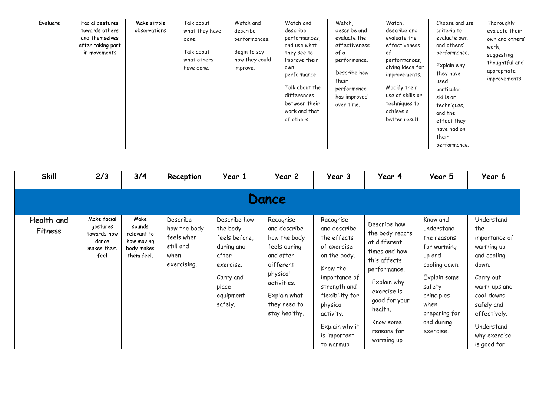| Evaluate | Facial gestures<br>towards others<br>and themselves<br>after taking part<br>in movements | Make simple<br>observations | Talk about<br>what they have<br>done.<br>Talk about<br>what others<br>have done. | Watch and<br>describe<br>performances.<br>Begin to say<br>how they could<br>improve. | Watch and<br>describe<br>performances,<br>and use what<br>they see to<br>improve their<br>own<br>performance.<br>Talk about the<br>differences<br>between their<br>work and that<br>of others. | Watch,<br>describe and<br>evaluate the<br>effectiveness<br>of a<br>performance.<br>Describe how<br>their<br>performance<br>has improved<br>over time. | Watch,<br>describe and<br>evaluate the<br>effectiveness<br>0t<br>performances,<br>giving ideas for<br>improvements.<br>Modify their<br>use of skills or<br>techniques to<br>achieve a<br>better result. | Choose and use<br>criteria to<br>evaluate own<br>and others'<br>performance.<br>Explain why<br>they have<br>used<br>particular<br>skills or<br>techniques,<br>and the<br>effect they<br>have had on<br>their | Thoroughly<br>evaluate their<br>own and others'<br>work,<br>suggesting<br>thoughtful and<br>appropriate<br>improvements. |
|----------|------------------------------------------------------------------------------------------|-----------------------------|----------------------------------------------------------------------------------|--------------------------------------------------------------------------------------|------------------------------------------------------------------------------------------------------------------------------------------------------------------------------------------------|-------------------------------------------------------------------------------------------------------------------------------------------------------|---------------------------------------------------------------------------------------------------------------------------------------------------------------------------------------------------------|--------------------------------------------------------------------------------------------------------------------------------------------------------------------------------------------------------------|--------------------------------------------------------------------------------------------------------------------------|
|          |                                                                                          |                             |                                                                                  |                                                                                      |                                                                                                                                                                                                |                                                                                                                                                       |                                                                                                                                                                                                         | performance.                                                                                                                                                                                                 |                                                                                                                          |

| <b>Skill</b>                 | 2/3                                                                   | 3/4                                                                     | Reception                                                                  | Year 1                                                                                                                      | Year 2                                                                                                                                                          | Year 3                                                                                                                                                                                                          | Year 4                                                                                                                                                                                               | Year 5                                                                                                                                                                      | Year 6                                                                                                                                                                                         |
|------------------------------|-----------------------------------------------------------------------|-------------------------------------------------------------------------|----------------------------------------------------------------------------|-----------------------------------------------------------------------------------------------------------------------------|-----------------------------------------------------------------------------------------------------------------------------------------------------------------|-----------------------------------------------------------------------------------------------------------------------------------------------------------------------------------------------------------------|------------------------------------------------------------------------------------------------------------------------------------------------------------------------------------------------------|-----------------------------------------------------------------------------------------------------------------------------------------------------------------------------|------------------------------------------------------------------------------------------------------------------------------------------------------------------------------------------------|
|                              |                                                                       |                                                                         |                                                                            |                                                                                                                             | <b>Dance</b>                                                                                                                                                    |                                                                                                                                                                                                                 |                                                                                                                                                                                                      |                                                                                                                                                                             |                                                                                                                                                                                                |
| Health and<br><b>Fitness</b> | Make facial<br>gestures<br>towards how<br>dance<br>makes them<br>feel | Make<br>sounds<br>relevant to<br>how moving<br>body makes<br>them feel. | Describe<br>how the body<br>feels when<br>still and<br>when<br>exercising. | Describe how<br>the body<br>feels before,<br>during and<br>after<br>exercise.<br>Carry and<br>place<br>equipment<br>safely. | Recognise<br>and describe<br>how the body<br>feels during<br>and after<br>different<br>physical<br>activities.<br>Explain what<br>they need to<br>stay healthy. | Recognise<br>and describe<br>the effects<br>of exercise<br>on the body.<br>Know the<br>importance of<br>strength and<br>flexibility for<br>physical<br>activity.<br>Explain why it<br>is important<br>to warmup | Describe how<br>the body reacts<br>at different<br>times and how<br>this affects<br>performance.<br>Explain why<br>exercise is<br>good for your<br>health.<br>Know some<br>reasons for<br>warming up | Know and<br>understand<br>the reasons<br>for warming<br>up and<br>cooling down.<br>Explain some<br>safety<br>principles<br>when<br>preparing for<br>and during<br>exercise. | Understand<br>the<br>importance of<br>warming up<br>and cooling<br>down.<br>Carry out<br>warm-ups and<br>cool-downs<br>safely and<br>effectively.<br>Understand<br>why exercise<br>is good for |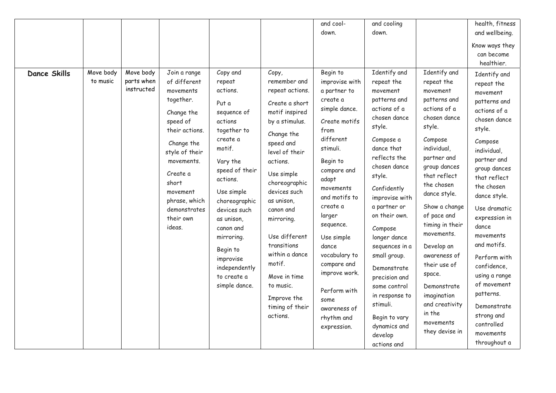|              |                       |                                       |                                                                                                                                    |                                                                                                                                                                                                          |                                                                                                                                                                                                                                         | and cool-                                                                                                                                                                                                                                      | and cooling                                                                                                                                                                                                                                                                                                    |                                                                                                                                                                                                                                                                                             | health, fitness                                                                                                                                                                                                                                                                                     |
|--------------|-----------------------|---------------------------------------|------------------------------------------------------------------------------------------------------------------------------------|----------------------------------------------------------------------------------------------------------------------------------------------------------------------------------------------------------|-----------------------------------------------------------------------------------------------------------------------------------------------------------------------------------------------------------------------------------------|------------------------------------------------------------------------------------------------------------------------------------------------------------------------------------------------------------------------------------------------|----------------------------------------------------------------------------------------------------------------------------------------------------------------------------------------------------------------------------------------------------------------------------------------------------------------|---------------------------------------------------------------------------------------------------------------------------------------------------------------------------------------------------------------------------------------------------------------------------------------------|-----------------------------------------------------------------------------------------------------------------------------------------------------------------------------------------------------------------------------------------------------------------------------------------------------|
|              |                       |                                       |                                                                                                                                    |                                                                                                                                                                                                          |                                                                                                                                                                                                                                         | down.                                                                                                                                                                                                                                          | down.                                                                                                                                                                                                                                                                                                          |                                                                                                                                                                                                                                                                                             | and wellbeing.                                                                                                                                                                                                                                                                                      |
| Dance Skills | Move body<br>to music | Move body<br>parts when<br>instructed | Join a range<br>of different<br>movements<br>together.<br>Change the<br>speed of<br>their actions.<br>Change the<br>style of their | Copy and<br>repeat<br>actions.<br>Put a<br>sequence of<br>actions<br>together to<br>create a<br>motif.                                                                                                   | Copy,<br>remember and<br>repeat actions.<br>Create a short<br>motif inspired<br>by a stimulus.<br>Change the<br>speed and<br>level of their                                                                                             | Begin to<br>improvise with<br>a partner to<br>create a<br>simple dance.<br>Create motifs<br>from<br>different<br>stimuli.                                                                                                                      | Identify and<br>repeat the<br>movement<br>patterns and<br>actions of a<br>chosen dance<br>style.<br>Compose a<br>dance that                                                                                                                                                                                    | Identify and<br>repeat the<br>movement<br>patterns and<br>actions of a<br>chosen dance<br>style.<br>Compose<br>individual,                                                                                                                                                                  | Know ways they<br>can become<br>healthier.<br>Identify and<br>repeat the<br>movement<br>patterns and<br>actions of a<br>chosen dance<br>style.<br>Compose<br>individual,                                                                                                                            |
|              |                       |                                       | movements.<br>Create a<br>short<br>movement<br>phrase, which<br>demonstrates<br>their own<br>ideas.                                | Vary the<br>speed of their<br>actions.<br>Use simple<br>choreographic<br>devices such<br>as unison,<br>canon and<br>mirroring.<br>Begin to<br>improvise<br>independently<br>to create a<br>simple dance. | actions.<br>Use simple<br>choreographic<br>devices such<br>as unison,<br>canon and<br>mirroring.<br>Use different<br>transitions<br>within a dance<br>motif.<br>Move in time<br>to music.<br>Improve the<br>timing of their<br>actions. | Begin to<br>compare and<br>adapt<br>movements<br>and motifs to<br>create a<br>larger<br>sequence.<br>Use simple<br>dance<br>vocabulary to<br>compare and<br>improve work.<br>Perform with<br>some<br>awareness of<br>rhythm and<br>expression. | reflects the<br>chosen dance<br>style.<br>Confidently<br>improvise with<br>a partner or<br>on their own.<br>Compose<br>longer dance<br>sequences in a<br>small group.<br>Demonstrate<br>precision and<br>some control<br>in response to<br>stimuli.<br>Begin to vary<br>dynamics and<br>develop<br>actions and | partner and<br>group dances<br>that reflect<br>the chosen<br>dance style.<br>Show a change<br>of pace and<br>timing in their<br>movements.<br>Develop an<br>awareness of<br>their use of<br>space.<br>Demonstrate<br>imagination<br>and creativity<br>in the<br>movements<br>they devise in | partner and<br>group dances<br>that reflect<br>the chosen<br>dance style.<br>Use dramatic<br>expression in<br>dance<br>movements<br>and motifs.<br>Perform with<br>confidence,<br>using a range<br>of movement<br>patterns.<br>Demonstrate<br>strong and<br>controlled<br>movements<br>throughout a |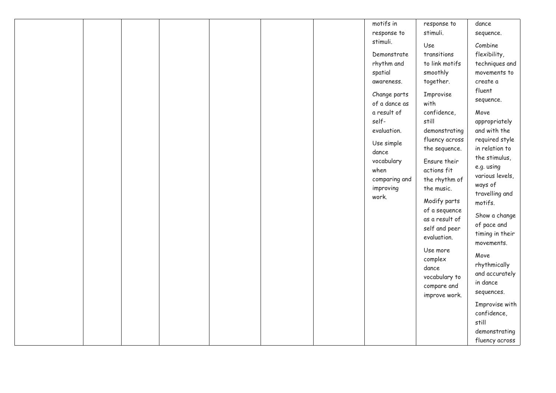|  |  |  | motifs in     | response to    | dance           |
|--|--|--|---------------|----------------|-----------------|
|  |  |  | response to   | stimuli.       | sequence.       |
|  |  |  | stimuli.      | Use            | Combine         |
|  |  |  |               |                |                 |
|  |  |  | Demonstrate   | transitions    | flexibility,    |
|  |  |  | rhythm and    | to link motifs | techniques and  |
|  |  |  | spatial       | smoothly       | movements to    |
|  |  |  | awareness.    | together.      | create a        |
|  |  |  | Change parts  | Improvise      | fluent          |
|  |  |  | of a dance as | with           | sequence.       |
|  |  |  | a result of   | confidence,    |                 |
|  |  |  |               |                | Move            |
|  |  |  | self-         | still          | appropriately   |
|  |  |  | evaluation.   | demonstrating  | and with the    |
|  |  |  | Use simple    | fluency across | required style  |
|  |  |  | dance         | the sequence.  | in relation to  |
|  |  |  | vocabulary    | Ensure their   | the stimulus,   |
|  |  |  | when          | actions fit    | e.g. using      |
|  |  |  | comparing and | the rhythm of  | various levels, |
|  |  |  | improving     | the music.     | ways of         |
|  |  |  | work.         |                | travelling and  |
|  |  |  |               | Modify parts   | motifs.         |
|  |  |  |               | of a sequence  |                 |
|  |  |  |               | as a result of | Show a change   |
|  |  |  |               | self and peer  | of pace and     |
|  |  |  |               | evaluation.    | timing in their |
|  |  |  |               |                | movements.      |
|  |  |  |               | Use more       | Move            |
|  |  |  |               | complex        |                 |
|  |  |  |               | dance          | rhythmically    |
|  |  |  |               | vocabulary to  | and accurately  |
|  |  |  |               | compare and    | in dance        |
|  |  |  |               | improve work.  | sequences.      |
|  |  |  |               |                | Improvise with  |
|  |  |  |               |                | confidence,     |
|  |  |  |               |                | still           |
|  |  |  |               |                |                 |
|  |  |  |               |                | demonstrating   |
|  |  |  |               |                | fluency across  |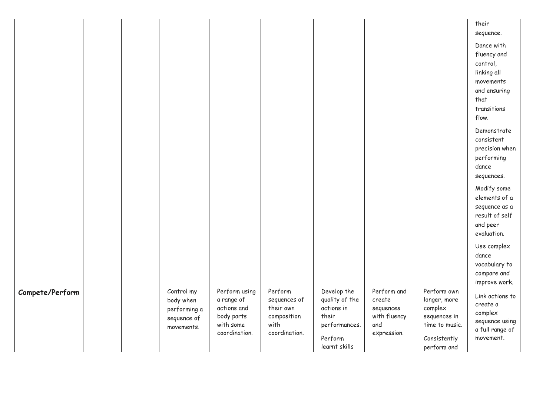|                 |  |                                                                      |                                                                                        |                                                                              |                                                                                                   |                                                                          |                                                                                                         | their<br>sequence.<br>Dance with<br>fluency and<br>control,<br>linking all<br>movements<br>and ensuring<br>that<br>transitions<br>flow. |
|-----------------|--|----------------------------------------------------------------------|----------------------------------------------------------------------------------------|------------------------------------------------------------------------------|---------------------------------------------------------------------------------------------------|--------------------------------------------------------------------------|---------------------------------------------------------------------------------------------------------|-----------------------------------------------------------------------------------------------------------------------------------------|
|                 |  |                                                                      |                                                                                        |                                                                              |                                                                                                   |                                                                          |                                                                                                         | Demonstrate<br>consistent<br>precision when<br>performing<br>dance<br>sequences.                                                        |
|                 |  |                                                                      |                                                                                        |                                                                              |                                                                                                   |                                                                          |                                                                                                         | Modify some<br>elements of a<br>sequence as a<br>result of self<br>and peer<br>evaluation.                                              |
|                 |  |                                                                      |                                                                                        |                                                                              |                                                                                                   |                                                                          |                                                                                                         | Use complex<br>dance<br>vocabulary to<br>compare and<br>improve work.                                                                   |
| Compete/Perform |  | Control my<br>body when<br>performing a<br>sequence of<br>movements. | Perform using<br>a range of<br>actions and<br>body parts<br>with some<br>coordination. | Perform<br>sequences of<br>their own<br>composition<br>with<br>coordination. | Develop the<br>quality of the<br>actions in<br>their<br>performances.<br>Perform<br>learnt skills | Perform and<br>create<br>sequences<br>with fluency<br>and<br>expression. | Perform own<br>longer, more<br>complex<br>sequences in<br>time to music.<br>Consistently<br>perform and | Link actions to<br>create a<br>complex<br>sequence using<br>a full range of<br>movement.                                                |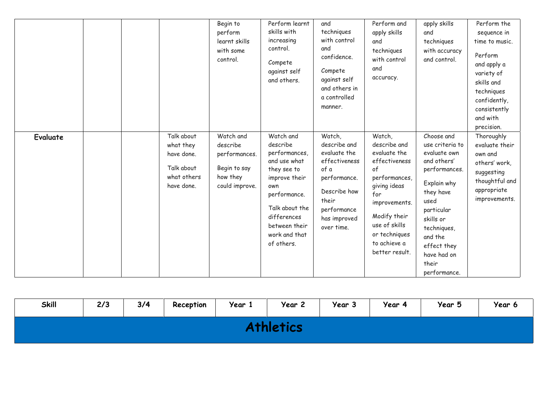|                 |                                                                                  | Begin to<br>perform<br>learnt skills<br>with some<br>control.                        | Perform learnt<br>skills with<br>increasing<br>control.<br>Compete<br>against self<br>and others.                                                                                              | and<br>techniques<br>with control<br>and<br>confidence.<br>Compete<br>against self<br>and others in<br>a controlled<br>manner.                        | Perform and<br>apply skills<br>and<br>techniques<br>with control<br>and<br>accuracy.                                                                                                                       | apply skills<br>and<br>techniques<br>with accuracy<br>and control.                                                                                                                                                            | Perform the<br>sequence in<br>time to music.<br>Perform<br>and apply a<br>variety of<br>skills and<br>techniques<br>confidently,<br>consistently<br>and with<br>precision. |
|-----------------|----------------------------------------------------------------------------------|--------------------------------------------------------------------------------------|------------------------------------------------------------------------------------------------------------------------------------------------------------------------------------------------|-------------------------------------------------------------------------------------------------------------------------------------------------------|------------------------------------------------------------------------------------------------------------------------------------------------------------------------------------------------------------|-------------------------------------------------------------------------------------------------------------------------------------------------------------------------------------------------------------------------------|----------------------------------------------------------------------------------------------------------------------------------------------------------------------------|
| <b>Evaluate</b> | Talk about<br>what they<br>have done.<br>Talk about<br>what others<br>have done. | Watch and<br>describe<br>performances.<br>Begin to say<br>how they<br>could improve. | Watch and<br>describe<br>performances,<br>and use what<br>they see to<br>improve their<br>own<br>performance.<br>Talk about the<br>differences<br>between their<br>work and that<br>of others. | Watch,<br>describe and<br>evaluate the<br>effectiveness<br>of a<br>performance.<br>Describe how<br>their<br>performance<br>has improved<br>over time. | Watch,<br>describe and<br>evaluate the<br>effectiveness<br>of<br>performances,<br>giving ideas<br>for<br>improvements.<br>Modify their<br>use of skills<br>or techniques<br>to achieve a<br>better result. | Choose and<br>use criteria to<br>evaluate own<br>and others'<br>performances.<br>Explain why<br>they have<br>used<br>particular<br>skills or<br>techniques,<br>and the<br>effect they<br>have had on<br>their<br>performance. | Thoroughly<br>evaluate their<br>own and<br>others' work,<br>suggesting<br>thoughtful and<br>appropriate<br>improvements.                                                   |

| <b>Skill</b> | 2/3 | 3/4 | Reception | Year 1 | Year 2 | Year 3 | Year 4 | Year 5 | Year 6 |
|--------------|-----|-----|-----------|--------|--------|--------|--------|--------|--------|
|              |     |     |           |        | tics:  |        |        |        |        |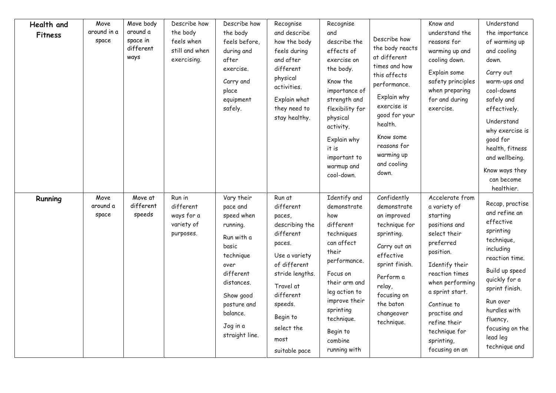| Health and<br><b>Fitness</b> | Move<br>around in a<br>space | Move body<br>around a<br>space in<br>different<br>ways | Describe how<br>the body<br>feels when<br>still and when<br>exercising. | Describe how<br>the body<br>feels before,<br>during and<br>after<br>exercise.<br>Carry and<br>place<br>equipment<br>safely.                                                                   | Recognise<br>and describe<br>how the body<br>feels during<br>and after<br>different<br>physical<br>activities.<br>Explain what<br>they need to<br>stay healthy.                                                    | Recognise<br>and<br>describe the<br>effects of<br>exercise on<br>the body.<br>Know the<br>importance of<br>strength and<br>flexibility for<br>physical<br>activity.<br>Explain why<br>it is<br>important to<br>warmup and<br>cool-down. | Describe how<br>the body reacts<br>at different<br>times and how<br>this affects<br>performance.<br>Explain why<br>exercise is<br>good for your<br>health.<br>Know some<br>reasons for<br>warming up<br>and cooling<br>down. | Know and<br>understand the<br>reasons for<br>warming up and<br>cooling down.<br>Explain some<br>safety principles<br>when preparing<br>for and during<br>exercise.                                                                                                               | Understand<br>the importance<br>of warming up<br>and cooling<br>down.<br>Carry out<br>warm-ups and<br>cool-downs<br>safely and<br>effectively.<br>Understand<br>why exercise is<br>good for<br>health, fitness<br>and wellbeing.<br>Know ways they<br>can become<br>healthier. |
|------------------------------|------------------------------|--------------------------------------------------------|-------------------------------------------------------------------------|-----------------------------------------------------------------------------------------------------------------------------------------------------------------------------------------------|--------------------------------------------------------------------------------------------------------------------------------------------------------------------------------------------------------------------|-----------------------------------------------------------------------------------------------------------------------------------------------------------------------------------------------------------------------------------------|------------------------------------------------------------------------------------------------------------------------------------------------------------------------------------------------------------------------------|----------------------------------------------------------------------------------------------------------------------------------------------------------------------------------------------------------------------------------------------------------------------------------|--------------------------------------------------------------------------------------------------------------------------------------------------------------------------------------------------------------------------------------------------------------------------------|
| Running                      | Move<br>around a<br>space    | Move at<br>different<br>speeds                         | Run in<br>different<br>ways for a<br>variety of<br>purposes.            | Vary their<br>pace and<br>speed when<br>running.<br>Run with a<br>basic<br>technique<br>over<br>different<br>distances.<br>Show good<br>posture and<br>balance.<br>Jog in a<br>straight line. | Run at<br>different<br>paces,<br>describing the<br>different<br>paces.<br>Use a variety<br>of different<br>stride lengths.<br>Travel at<br>different<br>speeds.<br>Begin to<br>select the<br>most<br>suitable pace | Identify and<br>demonstrate<br>how<br>different<br>techniques<br>can affect<br>their<br>performance.<br>Focus on<br>their arm and<br>leg action to<br>improve their<br>sprinting<br>technique.<br>Begin to<br>combine<br>running with   | Confidently<br>demonstrate<br>an improved<br>technique for<br>sprinting.<br>Carry out an<br>effective<br>sprint finish.<br>Perform a<br>relay,<br>focusing on<br>the baton<br>changeover<br>technique.                       | Accelerate from<br>a variety of<br>starting<br>positions and<br>select their<br>preferred<br>position.<br>Identify their<br>reaction times<br>when performing<br>a sprint start.<br>Continue to<br>practise and<br>refine their<br>technique for<br>sprinting,<br>focusing on an | Recap, practise<br>and refine an<br>effective<br>sprinting<br>technique,<br>including<br>reaction time.<br>Build up speed<br>quickly for a<br>sprint finish.<br>Run over<br>hurdles with<br>fluency,<br>focusing on the<br>lead leg<br>technique and                           |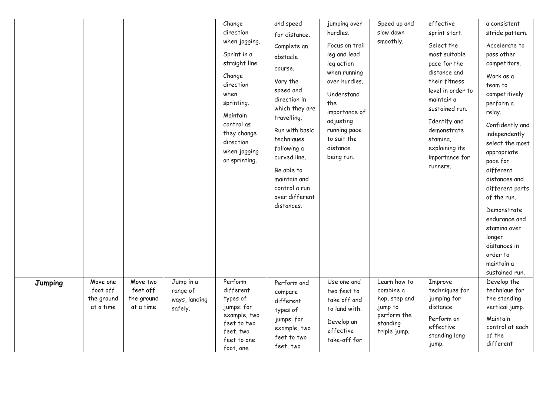|         |                                                 |                                                 |                                                   | Change<br>direction<br>when jogging.<br>Sprint in a<br>straight line.<br>Change<br>direction<br>when<br>sprinting.<br>Maintain<br>control as<br>they change<br>direction<br>when jogging<br>or sprinting. | and speed<br>for distance.<br>Complete an<br>obstacle<br>course.<br>Vary the<br>speed and<br>direction in<br>which they are<br>travelling.<br>Run with basic<br>techniques<br>following a<br>curved line.<br>Be able to<br>maintain and<br>control a run<br>over different<br>distances. | jumping over<br>hurdles.<br>Focus on trail<br>leg and lead<br>leg action<br>when running<br>over hurdles.<br>Understand<br>the<br>importance of<br>adjusting<br>running pace<br>to suit the<br>distance<br>being run. | Speed up and<br>slow down<br>smoothly.                                                           | effective<br>sprint start.<br>Select the<br>most suitable<br>pace for the<br>distance and<br>their fitness<br>level in order to<br>maintain a<br>sustained run.<br>Identify and<br>demonstrate<br>stamina,<br>explaining its<br>importance for<br>runners. | a consistent<br>stride pattern.<br>Accelerate to<br>pass other<br>competitors.<br>Work as a<br>team to<br>competitively<br>perform a<br>relay.<br>Confidently and<br>independently<br>select the most<br>appropriate<br>pace for<br>different<br>distances and<br>different parts<br>of the run.<br>Demonstrate<br>endurance and<br>stamina over<br>longer<br>distances in<br>order to<br>maintain a<br>sustained run. |
|---------|-------------------------------------------------|-------------------------------------------------|---------------------------------------------------|-----------------------------------------------------------------------------------------------------------------------------------------------------------------------------------------------------------|------------------------------------------------------------------------------------------------------------------------------------------------------------------------------------------------------------------------------------------------------------------------------------------|-----------------------------------------------------------------------------------------------------------------------------------------------------------------------------------------------------------------------|--------------------------------------------------------------------------------------------------|------------------------------------------------------------------------------------------------------------------------------------------------------------------------------------------------------------------------------------------------------------|------------------------------------------------------------------------------------------------------------------------------------------------------------------------------------------------------------------------------------------------------------------------------------------------------------------------------------------------------------------------------------------------------------------------|
| Jumping | Move one<br>foot off<br>the ground<br>at a time | Move two<br>feet off<br>the ground<br>at a time | Jump in a<br>range of<br>ways, landing<br>safely. | Perform<br>different<br>types of<br>jumps: for<br>example, two<br>feet to two<br>feet, two<br>feet to one<br>foot, one                                                                                    | Perform and<br>compare<br>different<br>types of<br>jumps: for<br>example, two<br>feet to two<br>feet, two                                                                                                                                                                                | Use one and<br>two feet to<br>take off and<br>to land with.<br>Develop an<br>effective<br>take-off for                                                                                                                | Learn how to<br>combine a<br>hop, step and<br>jump to<br>perform the<br>standing<br>triple jump. | Improve<br>techniques for<br>jumping for<br>distance.<br>Perform an<br>effective<br>standing long<br>jump.                                                                                                                                                 | Develop the<br>technique for<br>the standing<br>vertical jump.<br>Maintain<br>control at each<br>of the<br>different                                                                                                                                                                                                                                                                                                   |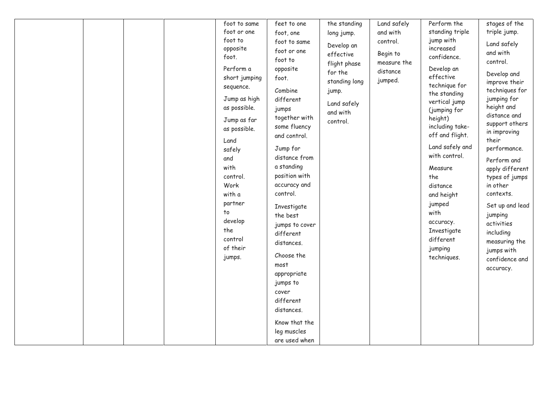|  |  | foot to same  | feet to one    | the standing  | Land safely | Perform the     | stages of the   |
|--|--|---------------|----------------|---------------|-------------|-----------------|-----------------|
|  |  | foot or one   | foot, one      | long jump.    | and with    | standing triple | triple jump.    |
|  |  | foot to       | foot to same   |               | control.    | jump with       |                 |
|  |  | opposite      |                | Develop an    |             | increased       | Land safely     |
|  |  | foot.         | foot or one    | effective     | Begin to    | confidence.     | and with        |
|  |  |               | foot to        | flight phase  | measure the |                 | control.        |
|  |  | Perform a     | opposite       | for the       | distance    | Develop an      | Develop and     |
|  |  | short jumping | foot.          | standing long | jumped.     | effective       | improve their   |
|  |  | sequence.     | Combine        | jump.         |             | technique for   | techniques for  |
|  |  | Jump as high  | different      |               |             | the standing    | jumping for     |
|  |  | as possible.  | jumps          | Land safely   |             | vertical jump   | height and      |
|  |  |               | together with  | and with      |             | (jumping for    | distance and    |
|  |  | Jump as far   |                | control.      |             | height)         | support others  |
|  |  | as possible.  | some fluency   |               |             | including take- | in improving    |
|  |  | Land          | and control.   |               |             | off and flight. | their           |
|  |  | safely        | Jump for       |               |             | Land safely and | performance.    |
|  |  | and           | distance from  |               |             | with control.   | Perform and     |
|  |  | with          | a standing     |               |             | Measure         | apply different |
|  |  | control.      | position with  |               |             | the             | types of jumps  |
|  |  | Work          | accuracy and   |               |             | distance        | in other        |
|  |  | with a        | control.       |               |             | and height      | contexts.       |
|  |  | partner       |                |               |             |                 |                 |
|  |  | to            | Investigate    |               |             | jumped          | Set up and lead |
|  |  |               | the best       |               |             | with            | jumping         |
|  |  | develop       | jumps to cover |               |             | accuracy.       | activities      |
|  |  | the           | different      |               |             | Investigate     | including       |
|  |  | control       | distances.     |               |             | different       | measuring the   |
|  |  | of their      |                |               |             | jumping         | jumps with      |
|  |  | jumps.        | Choose the     |               |             | techniques.     | confidence and  |
|  |  |               | most           |               |             |                 | accuracy.       |
|  |  |               | appropriate    |               |             |                 |                 |
|  |  |               | jumps to       |               |             |                 |                 |
|  |  |               | cover          |               |             |                 |                 |
|  |  |               | different      |               |             |                 |                 |
|  |  |               | distances.     |               |             |                 |                 |
|  |  |               | Know that the  |               |             |                 |                 |
|  |  |               | leg muscles    |               |             |                 |                 |
|  |  |               | are used when  |               |             |                 |                 |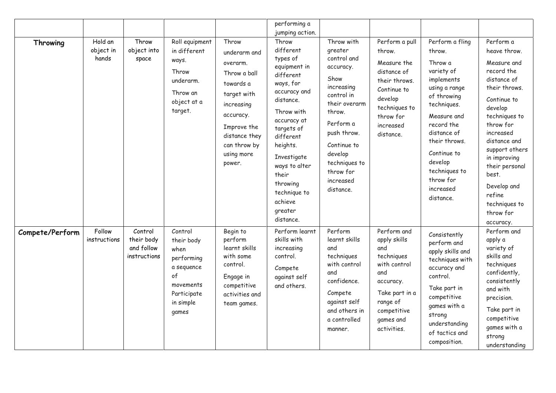|                 |                               |                                                     |                                                                                                                   |                                                                                                                                                                                  | performing a                                                                                                                                                                                                                                                                                         |                                                                                                                                                                                                                                |                                                                                                                                                               |                                                                                                                                                                                                                                                                |                                                                                                                                                                                                                                                                                                              |
|-----------------|-------------------------------|-----------------------------------------------------|-------------------------------------------------------------------------------------------------------------------|----------------------------------------------------------------------------------------------------------------------------------------------------------------------------------|------------------------------------------------------------------------------------------------------------------------------------------------------------------------------------------------------------------------------------------------------------------------------------------------------|--------------------------------------------------------------------------------------------------------------------------------------------------------------------------------------------------------------------------------|---------------------------------------------------------------------------------------------------------------------------------------------------------------|----------------------------------------------------------------------------------------------------------------------------------------------------------------------------------------------------------------------------------------------------------------|--------------------------------------------------------------------------------------------------------------------------------------------------------------------------------------------------------------------------------------------------------------------------------------------------------------|
| Throwing        | Hold an<br>object in<br>hands | Throw<br>object into<br>space                       | Roll equipment<br>in different<br>ways.<br>Throw<br>underarm.<br>Throw an<br>object at a<br>target.               | Throw<br>underarm and<br>overarm.<br>Throw a ball<br>towards a<br>target with<br>increasing<br>accuracy.<br>Improve the<br>distance they<br>can throw by<br>using more<br>power. | jumping action.<br>Throw<br>different<br>types of<br>equipment in<br>different<br>ways, for<br>accuracy and<br>distance.<br>Throw with<br>accuracy at<br>targets of<br>different<br>heights.<br>Investigate<br>ways to alter<br>their<br>throwing<br>technique to<br>achieve<br>greater<br>distance. | Throw with<br>greater<br>control and<br>accuracy.<br>Show<br>increasing<br>control in<br>their overarm<br>throw.<br>Perform a<br>push throw.<br>Continue to<br>develop<br>techniques to<br>throw for<br>increased<br>distance. | Perform a pull<br>throw.<br>Measure the<br>distance of<br>their throws.<br>Continue to<br>develop<br>techniques to<br>throw for<br>increased<br>distance.     | Perform a fling<br>throw.<br>Throw a<br>variety of<br>implements<br>using a range<br>of throwing<br>techniques.<br>Measure and<br>record the<br>distance of<br>their throws.<br>Continue to<br>develop<br>techniques to<br>throw for<br>increased<br>distance. | Perform a<br>heave throw.<br>Measure and<br>record the<br>distance of<br>their throws.<br>Continue to<br>develop<br>techniques to<br>throw for<br>increased<br>distance and<br>support others<br>in improving<br>their personal<br>best.<br>Develop and<br>refine<br>techniques to<br>throw for<br>accuracy. |
| Compete/Perform | Follow<br>instructions        | Control<br>their body<br>and follow<br>instructions | Control<br>their body<br>when<br>performing<br>a sequence<br>of<br>movements<br>Participate<br>in simple<br>games | Begin to<br>perform<br>learnt skills<br>with some<br>control.<br>Engage in<br>competitive<br>activities and<br>team games.                                                       | Perform learnt<br>skills with<br>increasing<br>control.<br>Compete<br>against self<br>and others.                                                                                                                                                                                                    | Perform<br>learnt skills<br>and<br>techniques<br>with control<br>and<br>confidence.<br>Compete<br>against self<br>and others in<br>a controlled<br>manner.                                                                     | Perform and<br>apply skills<br>and<br>techniques<br>with control<br>and<br>accuracy.<br>Take part in a<br>range of<br>competitive<br>games and<br>activities. | Consistently<br>perform and<br>apply skills and<br>techniques with<br>accuracy and<br>control.<br>Take part in<br>competitive<br>games with a<br>strong<br>understanding<br>of tactics and<br>composition.                                                     | Perform and<br>apply a<br>variety of<br>skills and<br>techniques<br>confidently,<br>consistently<br>and with<br>precision.<br>Take part in<br>competitive<br>games with a<br>strong<br>understanding                                                                                                         |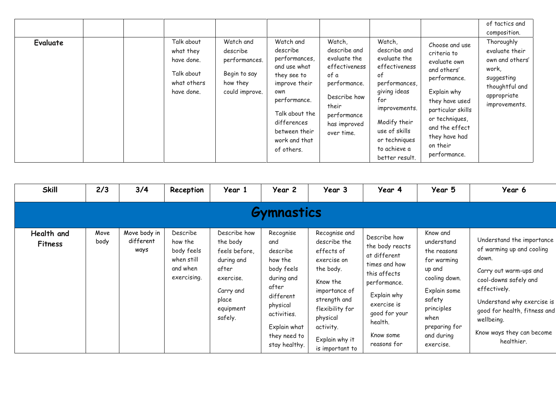| <b>Evaluate</b> | Talk about<br>what they<br>have done.<br>Talk about<br>what others<br>have done. | Watch and<br>describe<br>performances.<br>Begin to say<br>how they<br>could improve. | Watch and<br>describe<br>performances,<br>and use what<br>they see to<br>improve their<br>own<br>performance.<br>Talk about the<br>differences<br>between their<br>work and that | Watch,<br>describe and<br>evaluate the<br>effectiveness<br>of a<br>performance.<br>Describe how<br>their<br>performance<br>has improved<br>over time. | Watch,<br>describe and<br>evaluate the<br>effectiveness<br>оf<br>performances,<br>giving ideas<br>for<br>improvements.<br>Modify their<br>use of skills<br>or techniques | Choose and use<br>criteria to<br>evaluate own<br>and others'<br>performance.<br>Explain why<br>they have used<br>particular skills<br>or techniques,<br>and the effect<br>they have had | of tactics and<br>composition.<br>Thoroughly<br>evaluate their<br>own and others'<br>work,<br>suggesting<br>thoughtful and<br>appropriate<br>improvements. |
|-----------------|----------------------------------------------------------------------------------|--------------------------------------------------------------------------------------|----------------------------------------------------------------------------------------------------------------------------------------------------------------------------------|-------------------------------------------------------------------------------------------------------------------------------------------------------|--------------------------------------------------------------------------------------------------------------------------------------------------------------------------|-----------------------------------------------------------------------------------------------------------------------------------------------------------------------------------------|------------------------------------------------------------------------------------------------------------------------------------------------------------|
|                 |                                                                                  |                                                                                      | of others.                                                                                                                                                                       |                                                                                                                                                       | to achieve a<br>better result.                                                                                                                                           | on their<br>performance.                                                                                                                                                                |                                                                                                                                                            |

| <b>Skill</b>                 | 2/3          | 3/4                               | Reception                                                                  | Year 1                                                                                                                      | Year 2                                                                                                                                                                | Year 3                                                                                                                                                                                                | Year 4                                                                                                                                                                                 | Year 5                                                                                                                                                                      | Year 6                                                                                                                                                                                                                                                    |
|------------------------------|--------------|-----------------------------------|----------------------------------------------------------------------------|-----------------------------------------------------------------------------------------------------------------------------|-----------------------------------------------------------------------------------------------------------------------------------------------------------------------|-------------------------------------------------------------------------------------------------------------------------------------------------------------------------------------------------------|----------------------------------------------------------------------------------------------------------------------------------------------------------------------------------------|-----------------------------------------------------------------------------------------------------------------------------------------------------------------------------|-----------------------------------------------------------------------------------------------------------------------------------------------------------------------------------------------------------------------------------------------------------|
|                              |              |                                   |                                                                            |                                                                                                                             | <b>Gymnastics</b>                                                                                                                                                     |                                                                                                                                                                                                       |                                                                                                                                                                                        |                                                                                                                                                                             |                                                                                                                                                                                                                                                           |
| Health and<br><b>Fitness</b> | Move<br>body | Move body in<br>different<br>ways | Describe<br>how the<br>body feels<br>when still<br>and when<br>exercising. | Describe how<br>the body<br>feels before,<br>during and<br>after<br>exercise.<br>Carry and<br>place<br>equipment<br>safely. | Recognise<br>and<br>describe<br>how the<br>body feels<br>during and<br>after<br>different<br>physical<br>activities.<br>Explain what<br>they need to<br>stay healthy. | Recognise and<br>describe the<br>effects of<br>exercise on<br>the body.<br>Know the<br>importance of<br>strength and<br>flexibility for<br>physical<br>activity.<br>Explain why it<br>is important to | Describe how<br>the body reacts<br>at different<br>times and how<br>this affects<br>performance.<br>Explain why<br>exercise is<br>good for your<br>health.<br>Know some<br>reasons for | Know and<br>understand<br>the reasons<br>for warming<br>up and<br>cooling down.<br>Explain some<br>safety<br>principles<br>when<br>preparing for<br>and during<br>exercise. | Understand the importance<br>of warming up and cooling<br>down.<br>Carry out warm-ups and<br>cool-downs safely and<br>effectively.<br>Understand why exercise is<br>good for health, fitness and<br>wellbeing.<br>Know ways they can become<br>healthier. |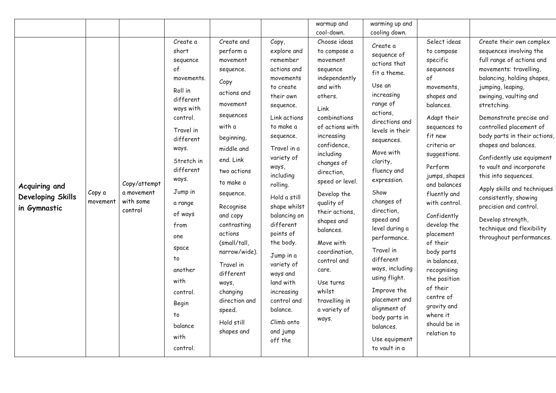|                                                           |                    |                                                    |                                                                                                                                                                                                                                                                                                                       |                                                                                                                                                                                                                                                                                                                                                                                        |                                                                                                                                                                                                                                                                                                                                                                                                                                       | warmup and                                                                                                                                                                                                                                                                                                                                                                                                                        | warming up and                                                                                                                                                                                                                                                                                                                                                                                                                                                                     |                                                                                                                                                                                                                                                                                                                                                                                                                                                                 |                                                                                                                                                                                                                                                                                                                                                                                                                                                                                                                                                                       |
|-----------------------------------------------------------|--------------------|----------------------------------------------------|-----------------------------------------------------------------------------------------------------------------------------------------------------------------------------------------------------------------------------------------------------------------------------------------------------------------------|----------------------------------------------------------------------------------------------------------------------------------------------------------------------------------------------------------------------------------------------------------------------------------------------------------------------------------------------------------------------------------------|---------------------------------------------------------------------------------------------------------------------------------------------------------------------------------------------------------------------------------------------------------------------------------------------------------------------------------------------------------------------------------------------------------------------------------------|-----------------------------------------------------------------------------------------------------------------------------------------------------------------------------------------------------------------------------------------------------------------------------------------------------------------------------------------------------------------------------------------------------------------------------------|------------------------------------------------------------------------------------------------------------------------------------------------------------------------------------------------------------------------------------------------------------------------------------------------------------------------------------------------------------------------------------------------------------------------------------------------------------------------------------|-----------------------------------------------------------------------------------------------------------------------------------------------------------------------------------------------------------------------------------------------------------------------------------------------------------------------------------------------------------------------------------------------------------------------------------------------------------------|-----------------------------------------------------------------------------------------------------------------------------------------------------------------------------------------------------------------------------------------------------------------------------------------------------------------------------------------------------------------------------------------------------------------------------------------------------------------------------------------------------------------------------------------------------------------------|
|                                                           |                    |                                                    |                                                                                                                                                                                                                                                                                                                       |                                                                                                                                                                                                                                                                                                                                                                                        |                                                                                                                                                                                                                                                                                                                                                                                                                                       | cool-down.                                                                                                                                                                                                                                                                                                                                                                                                                        | cooling down.                                                                                                                                                                                                                                                                                                                                                                                                                                                                      |                                                                                                                                                                                                                                                                                                                                                                                                                                                                 |                                                                                                                                                                                                                                                                                                                                                                                                                                                                                                                                                                       |
| Acquiring and<br><b>Developing Skills</b><br>in Gymnastic | Copy a<br>movement | Copy/attempt<br>a movement<br>with some<br>control | Create a<br>short<br>sequence<br>of<br>movements.<br>Roll in<br>different<br>ways with<br>control.<br>Travel in<br>different<br>ways.<br>Stretch in<br>different<br>ways.<br>Jump in<br>a range<br>of ways<br>from<br>one<br>space<br>to<br>another<br>with<br>control.<br>Begin<br>to<br>balance<br>with<br>control. | Create and<br>perform a<br>movement<br>sequence.<br>Copy<br>actions and<br>movement<br>sequences<br>with a<br>beginning,<br>middle and<br>end. Link<br>two actions<br>to make a<br>sequence.<br>Recognise<br>and copy<br>contrasting<br>actions<br>(small/tall,<br>narrow/wide).<br>Travel in<br>different<br>ways,<br>changing<br>direction and<br>speed.<br>Hold still<br>shapes and | Copy,<br>explore and<br>remember<br>actions and<br>movements<br>to create<br>their own<br>sequence.<br>Link actions<br>to make a<br>sequence.<br>Travel in a<br>variety of<br>ways,<br>including<br>rolling.<br>Hold a still<br>shape whilst<br>balancing on<br>different<br>points of<br>the body.<br>Jump in a<br>variety of<br>ways and<br>land with<br>increasing<br>control and<br>balance.<br>Climb onto<br>and jump<br>off the | Choose ideas<br>to compose a<br>movement<br>sequence<br>independently<br>and with<br>others.<br>Link<br>combinations<br>of actions with<br>increasing<br>confidence,<br>including<br>changes of<br>direction,<br>speed or level.<br>Develop the<br>quality of<br>their actions,<br>shapes and<br>balances.<br>Move with<br>coordination,<br>control and<br>care.<br>Use turns<br>whilst<br>travelling in<br>a variety of<br>ways. | Create a<br>sequence of<br>actions that<br>fit a theme.<br>Use an<br>increasing<br>range of<br>actions,<br>directions and<br>levels in their<br>sequences.<br>Move with<br>clarity,<br>fluency and<br>expression.<br>Show<br>changes of<br>direction,<br>speed and<br>level during a<br>performance.<br>Travel in<br>different<br>ways, including<br>using flight.<br>Improve the<br>placement and<br>alignment of<br>body parts in<br>balances.<br>Use equipment<br>to vault in a | Select ideas<br>to compose<br>specific<br>sequences<br>of<br>movements,<br>shapes and<br>balances.<br>Adapt their<br>sequences to<br>fit new<br>criteria or<br>suggestions.<br>Perform<br>jumps, shapes<br>and balances<br>fluently and<br>with control.<br>Confidently<br>develop the<br>placement<br>of their<br>body parts<br>in balances.<br>recognising<br>the position<br>of their<br>centre of<br>gravity and<br>where it<br>should be in<br>relation to | Create their own complex<br>sequences involving the<br>full range of actions and<br>movements: travelling,<br>balancing, holding shapes,<br>jumping, leaping,<br>swinging, vaulting and<br>stretching.<br>Demonstrate precise and<br>controlled placement of<br>body parts in their actions,<br>shapes and balances.<br>Confidently use equipment<br>to vault and incorporate<br>this into sequences.<br>Apply skills and techniques<br>consistently, showing<br>precision and control.<br>Develop strength,<br>technique and flexibility<br>throughout performances. |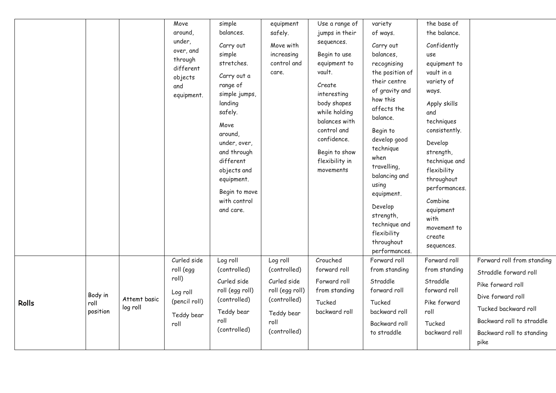|              |                             |                          | Move<br>around,<br>under,<br>over, and<br>through<br>different<br>objects<br>and<br>equipment. | simple<br>balances.<br>Carry out<br>simple<br>stretches.<br>Carry out a<br>range of<br>simple jumps,<br>landing<br>safely.<br>Move<br>around,<br>under, over,<br>and through<br>different<br>objects and<br>equipment.<br>Begin to move<br>with control<br>and care. | equipment<br>safely.<br>Move with<br>increasing<br>control and<br>care.                                          | Use a range of<br>jumps in their<br>sequences.<br>Begin to use<br>equipment to<br>vault.<br>Create<br>interesting<br>body shapes<br>while holding<br>balances with<br>control and<br>confidence.<br>Begin to show<br>flexibility in<br>movements | variety<br>of ways.<br>Carry out<br>balances,<br>recognising<br>the position of<br>their centre<br>of gravity and<br>how this<br>affects the<br>balance.<br>Begin to<br>develop good<br>technique<br>when<br>travelling,<br>balancing and<br>using<br>equipment.<br>Develop<br>strength,<br>technique and<br>flexibility<br>throughout<br>performances. | the base of<br>the balance.<br>Confidently<br>use<br>equipment to<br>vault in a<br>variety of<br>ways.<br>Apply skills<br>and<br>techniques<br>consistently.<br>Develop<br>strength,<br>technique and<br>flexibility<br>throughout<br>performances.<br>Combine<br>equipment<br>with<br>movement to<br>create<br>sequences. |                                                                                                                                                                                         |
|--------------|-----------------------------|--------------------------|------------------------------------------------------------------------------------------------|----------------------------------------------------------------------------------------------------------------------------------------------------------------------------------------------------------------------------------------------------------------------|------------------------------------------------------------------------------------------------------------------|--------------------------------------------------------------------------------------------------------------------------------------------------------------------------------------------------------------------------------------------------|---------------------------------------------------------------------------------------------------------------------------------------------------------------------------------------------------------------------------------------------------------------------------------------------------------------------------------------------------------|----------------------------------------------------------------------------------------------------------------------------------------------------------------------------------------------------------------------------------------------------------------------------------------------------------------------------|-----------------------------------------------------------------------------------------------------------------------------------------------------------------------------------------|
| <b>Rolls</b> | Body in<br>roll<br>position | Attemt basic<br>log roll | Curled side<br>roll (egg<br>roll)<br>Log roll<br>(pencil roll)<br>Teddy bear<br>roll           | Log roll<br>(controlled)<br>Curled side<br>roll (egg roll)<br>(controlled)<br>Teddy bear<br>roll<br>(controlled)                                                                                                                                                     | Log roll<br>(controlled)<br>Curled side<br>roll (egg roll)<br>(controlled)<br>Teddy bear<br>roll<br>(controlled) | Crouched<br>forward roll<br>Forward roll<br>from standing<br>Tucked<br>backward roll                                                                                                                                                             | Forward roll<br>from standing<br>Straddle<br>forward roll<br>Tucked<br>backward roll<br>Backward roll<br>to straddle                                                                                                                                                                                                                                    | Forward roll<br>from standing<br>Straddle<br>forward roll<br>Pike forward<br>roll<br>Tucked<br>backward roll                                                                                                                                                                                                               | Forward roll from standing<br>Straddle forward roll<br>Pike forward roll<br>Dive forward roll<br>Tucked backward roll<br>Backward roll to straddle<br>Backward roll to standing<br>pike |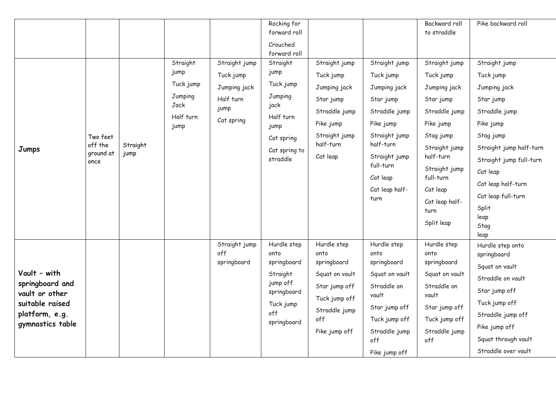| Jumps                                                                                                      | Two feet<br>off the<br>ground at<br>once | Straight<br>jump | Straight<br>jump<br>Tuck jump<br>Jumping<br>Jack<br>Half turn<br>jump | Straight jump<br>Tuck jump<br>Jumping jack<br>Half turn<br>jump<br>Cat spring | Rocking for<br>forward roll<br>Crouched<br>forward roll<br>Straight<br>jump<br>Tuck jump<br>Jumping<br>jack<br>Half turn<br>jump<br>Cat spring<br>Cat spring to<br>straddle | Straight jump<br>Tuck jump<br>Jumping jack<br>Star jump<br>Straddle jump<br>Pike jump<br>Straight jump<br>half-turn<br>Cat leap | Straight jump<br>Tuck jump<br>Jumping jack<br>Star jump<br>Straddle jump<br>Pike jump<br>Straight jump<br>half-turn<br>Straight jump                    | Backward roll<br>to straddle<br>Straight jump<br>Tuck jump<br>Jumping jack<br>Star jump<br>Straddle jump<br>Pike jump<br>Stag jump<br>Straight jump<br>half-turn | Pike backward roll<br>Straight jump<br>Tuck jump<br>Jumping jack<br>Star jump<br>Straddle jump<br>Pike jump<br>Stag jump<br>Straight jump half-turn<br>Straight jump full-turn               |
|------------------------------------------------------------------------------------------------------------|------------------------------------------|------------------|-----------------------------------------------------------------------|-------------------------------------------------------------------------------|-----------------------------------------------------------------------------------------------------------------------------------------------------------------------------|---------------------------------------------------------------------------------------------------------------------------------|---------------------------------------------------------------------------------------------------------------------------------------------------------|------------------------------------------------------------------------------------------------------------------------------------------------------------------|----------------------------------------------------------------------------------------------------------------------------------------------------------------------------------------------|
|                                                                                                            |                                          |                  |                                                                       |                                                                               |                                                                                                                                                                             |                                                                                                                                 | full-turn<br>Cat leap<br>Cat leap half-<br>turn                                                                                                         | Straight jump<br>full-turn<br>Cat leap<br>Cat leap half-<br>turn<br>Split leap                                                                                   | Cat leap<br>Cat leap half-turn<br>Cat leap full-turn<br>Split<br>leap<br>Stag<br>leap                                                                                                        |
| Vault - with<br>springboard and<br>vault or other<br>suitable raised<br>platform, e.g.<br>gymnastics table |                                          |                  |                                                                       | Straight jump<br>off<br>springboard                                           | Hurdle step<br>onto<br>springboard<br>Straight<br>jump off<br>springboard<br>Tuck jump<br>off<br>springboard                                                                | Hurdle step<br>onto<br>springboard<br>Squat on vault<br>Star jump off<br>Tuck jump off<br>Straddle jump<br>off<br>Pike jump off | Hurdle step<br>onto<br>springboard<br>Squat on vault<br>Straddle on<br>vault<br>Star jump off<br>Tuck jump off<br>Straddle jump<br>off<br>Pike jump off | Hurdle step<br>onto<br>springboard<br>Squat on vault<br>Straddle on<br>vault<br>Star jump off<br>Tuck jump off<br>Straddle jump<br>off                           | Hurdle step onto<br>springboard<br>Squat on vault<br>Straddle on vault<br>Star jump off<br>Tuck jump off<br>Straddle jump off<br>Pike jump off<br>Squat through vault<br>Straddle over vault |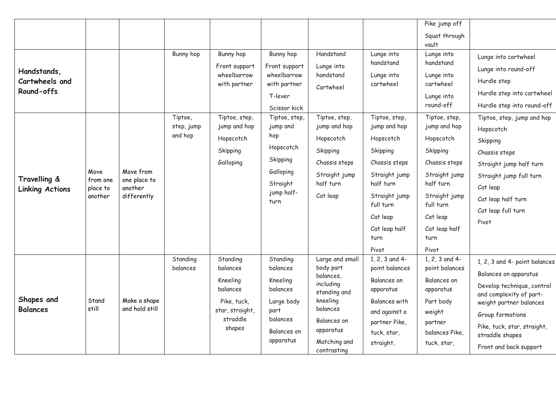|                                                                                       |                                         |                                                     |                                               |                                                                                                                                  |                                                                                                                                                                                                  |                                                                                                                                                                        |                                                                                                                                                                                                                                         | Pike jump off                                                                                                                                                                                                                                                      |                                                                                                                                                                                                                                                                                                                        |
|---------------------------------------------------------------------------------------|-----------------------------------------|-----------------------------------------------------|-----------------------------------------------|----------------------------------------------------------------------------------------------------------------------------------|--------------------------------------------------------------------------------------------------------------------------------------------------------------------------------------------------|------------------------------------------------------------------------------------------------------------------------------------------------------------------------|-----------------------------------------------------------------------------------------------------------------------------------------------------------------------------------------------------------------------------------------|--------------------------------------------------------------------------------------------------------------------------------------------------------------------------------------------------------------------------------------------------------------------|------------------------------------------------------------------------------------------------------------------------------------------------------------------------------------------------------------------------------------------------------------------------------------------------------------------------|
|                                                                                       |                                         |                                                     |                                               |                                                                                                                                  |                                                                                                                                                                                                  |                                                                                                                                                                        |                                                                                                                                                                                                                                         | Squat through<br>vault                                                                                                                                                                                                                                             |                                                                                                                                                                                                                                                                                                                        |
| Handstands,<br>Cartwheels and<br>Round-offs<br>Travelling &<br><b>Linking Actions</b> | Move<br>from one<br>place to<br>another | Move from<br>one place to<br>another<br>differently | Bunny hop<br>Tiptoe,<br>step, jump<br>and hop | Bunny hop<br>Front support<br>wheelbarrow<br>with partner<br>Tiptoe, step,<br>jump and hop<br>Hopscotch<br>Skipping<br>Galloping | Bunny hop<br>Front support<br>wheelbarrow<br>with partner<br>T-lever<br>Scissor kick<br>Tiptoe, step,<br>jump and<br>hop<br>Hopscotch<br>Skipping<br>Galloping<br>Straight<br>jump half-<br>turn | Handstand<br>Lunge into<br>handstand<br>Cartwheel<br>Tiptoe, step,<br>jump and hop<br>Hopscotch<br>Skipping<br>Chassis steps<br>Straight jump<br>half turn<br>Cat leap | Lunge into<br>handstand<br>Lunge into<br>cartwheel<br>Tiptoe, step,<br>jump and hop<br>Hopscotch<br>Skipping<br>Chassis steps<br>Straight jump<br>half turn<br>Straight jump<br>full turn<br>Cat leap<br>Cat leap half<br>turn<br>Pivot | Lunge into<br>handstand<br>Lunge into<br>cartwheel<br>Lunge into<br>round-off<br>Tiptoe, step,<br>jump and hop<br>Hopscotch<br>Skipping<br>Chassis steps<br>Straight jump<br>half turn<br>Straight jump<br>full turn<br>Cat leap<br>Cat leap half<br>turn<br>Pivot | Lunge into cartwheel<br>Lunge into round-off<br>Hurdle step<br>Hurdle step into cartwheel<br>Hurdle step into round-off<br>Tiptoe, step, jump and hop<br>Hopscotch<br>Skipping<br>Chassis steps<br>Straight jump half turn<br>Straight jump full turn<br>Cat leap<br>Cat leap half turn<br>Cat leap full turn<br>Pivot |
| Shapes and<br><b>Balances</b>                                                         | Stand<br>still                          | Make a shape<br>and hold still                      | Standing<br>balances                          | Standing<br>balances<br>Kneeling<br>balances<br>Pike, tuck,<br>star, straight,<br>straddle<br>shapes                             | Standing<br>balances<br>Kneeling<br>balances<br>Large body<br>part<br>balances<br>Balances on<br>apparatus                                                                                       | Large and small<br>body part<br>balances,<br>including<br>standing and<br>kneeling<br>balances<br>Balances on<br>apparatus<br>Matching and<br>contrasting              | 1, 2, 3 and 4-<br>point balances<br>Balances on<br>apparatus<br>Balances with<br>and against a<br>partner Pike,<br>tuck, star,<br>straight,                                                                                             | 1, 2, 3 and 4-<br>point balances<br>Balances on<br>apparatus<br>Part body<br>weight<br>partner<br>balances Pike,<br>tuck, star,                                                                                                                                    | 1, 2, 3 and 4- point balances<br>Balances on apparatus<br>Develop technique, control<br>and complexity of part-<br>weight partner balances<br>Group formations<br>Pike, tuck, star, straight,<br>straddle shapes<br>Front and back support                                                                             |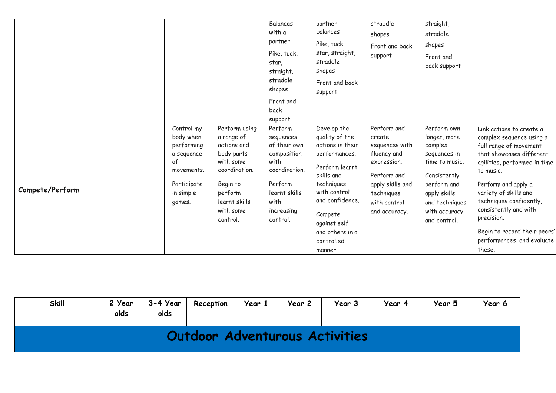|                 |  |             |               | Balances      |                  | straddle         | straight,      |                              |
|-----------------|--|-------------|---------------|---------------|------------------|------------------|----------------|------------------------------|
|                 |  |             |               |               | partner          |                  |                |                              |
|                 |  |             |               | with a        | balances         | shapes           | straddle       |                              |
|                 |  |             |               | partner       | Pike, tuck,      | Front and back   | shapes         |                              |
|                 |  |             |               | Pike, tuck,   | star, straight,  | support          | Front and      |                              |
|                 |  |             |               | star,         | straddle         |                  | back support   |                              |
|                 |  |             |               | straight,     | shapes           |                  |                |                              |
|                 |  |             |               | straddle      | Front and back   |                  |                |                              |
|                 |  |             |               | shapes        | support          |                  |                |                              |
|                 |  |             |               | Front and     |                  |                  |                |                              |
|                 |  |             |               | back          |                  |                  |                |                              |
|                 |  |             |               | support       |                  |                  |                |                              |
|                 |  | Control my  | Perform using | Perform       | Develop the      | Perform and      | Perform own    | Link actions to create a     |
|                 |  | body when   | a range of    | sequences     | quality of the   | create           | longer, more   | complex sequence using a     |
|                 |  | performing  | actions and   | of their own  | actions in their | sequences with   | complex        | full range of movement       |
|                 |  | a sequence  | body parts    | composition   | performances.    | fluency and      | sequences in   | that showcases different     |
|                 |  | 0f          | with some     | with          | Perform learnt   | expression.      | time to music. | agilities, performed in time |
|                 |  | movements.  | coordination. | coordination. | skills and       | Perform and      | Consistently   | to music.                    |
|                 |  | Participate | Begin to      | Perform       | techniques       | apply skills and | perform and    | Perform and apply a          |
| Compete/Perform |  | in simple   | perform       | learnt skills | with control     | techniques       | apply skills   | variety of skills and        |
|                 |  | games.      | learnt skills | with          | and confidence.  | with control     | and techniques | techniques confidently,      |
|                 |  |             | with some     | increasing    |                  | and accuracy.    | with accuracy  | consistently and with        |
|                 |  |             | control.      | control.      | Compete          |                  | and control.   | precision.                   |
|                 |  |             |               |               | against self     |                  |                |                              |
|                 |  |             |               |               | and others in a  |                  |                | Begin to record their peers' |
|                 |  |             |               |               | controlled       |                  |                | performances, and evaluate   |
|                 |  |             |               |               | manner.          |                  |                | these.                       |

| <b>Skill</b> | 2 Year<br>olds | 3-4 Year<br>olds | Reception | Year 1 | Year 2 | Year 3                         | Year 4 | Year 5 | Year 6 |
|--------------|----------------|------------------|-----------|--------|--------|--------------------------------|--------|--------|--------|
|              |                |                  |           |        |        | Outdoor Adventurous Activities |        |        |        |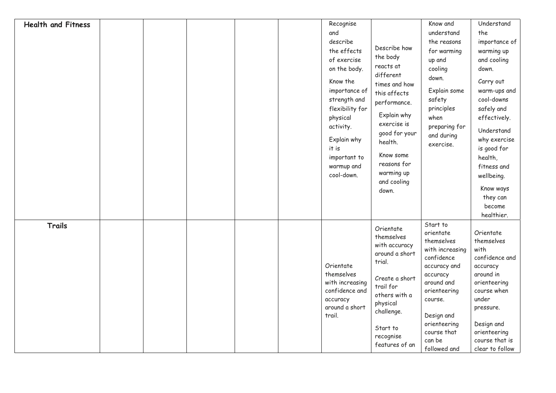| <b>Health and Fitness</b> |  |  | Recognise<br>and<br>describe<br>the effects<br>of exercise<br>on the body.<br>Know the<br>importance of<br>strength and<br>flexibility for<br>physical<br>activity.<br>Explain why<br>it is<br>important to<br>warmup and<br>cool-down. | Describe how<br>the body<br>reacts at<br>different<br>times and how<br>this affects<br>performance.<br>Explain why<br>exercise is<br>good for your<br>health.<br>Know some<br>reasons for<br>warming up<br>and cooling<br>down. | Know and<br>understand<br>the reasons<br>for warming<br>up and<br>cooling<br>down.<br>Explain some<br>safety<br>principles<br>when<br>preparing for<br>and during<br>exercise.                                   | Understand<br>the<br>importance of<br>warming up<br>and cooling<br>down.<br>Carry out<br>warm-ups and<br>cool-downs<br>safely and<br>effectively.<br>Understand<br>why exercise<br>is good for<br>health,<br>fitness and<br>wellbeing.<br>Know ways<br>they can<br>become<br>healthier. |
|---------------------------|--|--|-----------------------------------------------------------------------------------------------------------------------------------------------------------------------------------------------------------------------------------------|---------------------------------------------------------------------------------------------------------------------------------------------------------------------------------------------------------------------------------|------------------------------------------------------------------------------------------------------------------------------------------------------------------------------------------------------------------|-----------------------------------------------------------------------------------------------------------------------------------------------------------------------------------------------------------------------------------------------------------------------------------------|
| <b>Trails</b>             |  |  | Orientate<br>themselves<br>with increasing<br>confidence and<br>accuracy<br>around a short<br>trail.                                                                                                                                    | Orientate<br>themselves<br>with accuracy<br>around a short<br>trial.<br>Create a short<br>trail for<br>others with a<br>physical<br>challenge.<br>Start to<br>recognise<br>features of an                                       | Start to<br>orientate<br>themselves<br>with increasing<br>confidence<br>accuracy and<br>accuracy<br>around and<br>orienteering<br>course.<br>Design and<br>orienteering<br>course that<br>can be<br>followed and | Orientate<br>themselves<br>with<br>confidence and<br>accuracy<br>around in<br>orienteering<br>course when<br>under<br>pressure.<br>Design and<br>orienteering<br>course that is<br>clear to follow                                                                                      |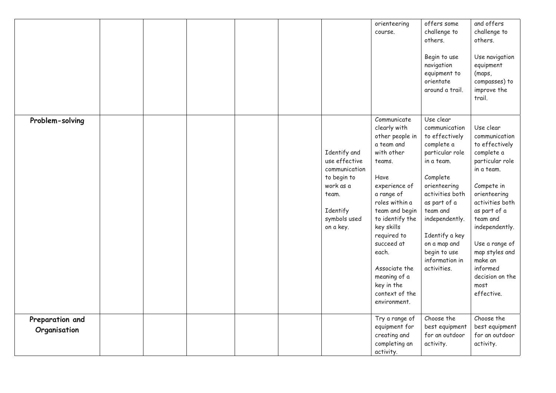|                                 |  |  |                                                                                                                              | orienteering<br>course.                                                                                                                                                                                                                                                                                                 | offers some<br>challenge to<br>others.<br>Begin to use<br>navigation<br>equipment to<br>orientate<br>around a trail.                                                                                                                                                        | and offers<br>challenge to<br>others.<br>Use navigation<br>equipment<br>(maps,<br>compasses) to<br>improve the<br>trail.                                                                                                                                                                       |
|---------------------------------|--|--|------------------------------------------------------------------------------------------------------------------------------|-------------------------------------------------------------------------------------------------------------------------------------------------------------------------------------------------------------------------------------------------------------------------------------------------------------------------|-----------------------------------------------------------------------------------------------------------------------------------------------------------------------------------------------------------------------------------------------------------------------------|------------------------------------------------------------------------------------------------------------------------------------------------------------------------------------------------------------------------------------------------------------------------------------------------|
| Problem-solving                 |  |  | Identify and<br>use effective<br>communication<br>to begin to<br>work as a<br>team.<br>Identify<br>symbols used<br>on a key. | Communicate<br>clearly with<br>other people in<br>a team and<br>with other<br>teams.<br>Have<br>experience of<br>a range of<br>roles within a<br>team and begin<br>to identify the<br>key skills<br>required to<br>succeed at<br>each.<br>Associate the<br>meaning of a<br>key in the<br>context of the<br>environment. | Use clear<br>communication<br>to effectively<br>complete a<br>particular role<br>in a team.<br>Complete<br>orienteering<br>activities both<br>as part of a<br>team and<br>independently.<br>Identify a key<br>on a map and<br>begin to use<br>information in<br>activities. | Use clear<br>communication<br>to effectively<br>complete a<br>particular role<br>in a team.<br>Compete in<br>orienteering<br>activities both<br>as part of a<br>team and<br>independently.<br>Use a range of<br>map styles and<br>make an<br>informed<br>decision on the<br>most<br>effective. |
| Preparation and<br>Organisation |  |  |                                                                                                                              | Try a range of<br>equipment for<br>creating and<br>completing an<br>activity.                                                                                                                                                                                                                                           | Choose the<br>best equipment<br>for an outdoor<br>activity.                                                                                                                                                                                                                 | Choose the<br>best equipment<br>for an outdoor<br>activity.                                                                                                                                                                                                                                    |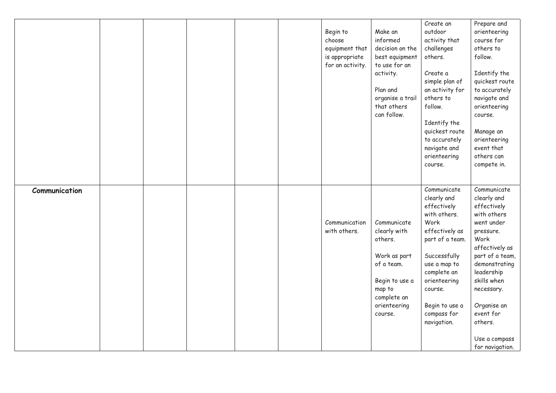|               |  |  | Begin to<br>choose<br>equipment that<br>is appropriate<br>for an activity. | Make an<br>informed<br>decision on the<br>best equipment<br>to use for an<br>activity.<br>Plan and<br>organise a trail<br>that others<br>can follow. | Create an<br>outdoor<br>activity that<br>challenges<br>others.<br>Create a<br>simple plan of<br>an activity for<br>others to<br>follow.<br>Identify the<br>quickest route<br>to accurately<br>navigate and<br>orienteering<br>course. | Prepare and<br>orienteering<br>course for<br>others to<br>follow.<br>Identify the<br>quickest route<br>to accurately<br>navigate and<br>orienteering<br>course.<br>Manage an<br>orienteering<br>event that<br>others can<br>compete in.              |
|---------------|--|--|----------------------------------------------------------------------------|------------------------------------------------------------------------------------------------------------------------------------------------------|---------------------------------------------------------------------------------------------------------------------------------------------------------------------------------------------------------------------------------------|------------------------------------------------------------------------------------------------------------------------------------------------------------------------------------------------------------------------------------------------------|
| Communication |  |  | Communication<br>with others.                                              | Communicate<br>clearly with<br>others.<br>Work as part<br>of a team.<br>Begin to use a<br>map to<br>complete an<br>orienteering<br>course.           | Communicate<br>clearly and<br>effectively<br>with others.<br>Work<br>effectively as<br>part of a team.<br>Successfully<br>use a map to<br>complete an<br>orienteering<br>course.<br>Begin to use a<br>compass for<br>navigation.      | Communicate<br>clearly and<br>effectively<br>with others<br>went under<br>pressure.<br>Work<br>affectively as<br>part of a team,<br>demonstrating<br>leadership<br>skills when<br>necessary.<br>Organise an<br>event for<br>others.<br>Use a compass |
|               |  |  |                                                                            |                                                                                                                                                      |                                                                                                                                                                                                                                       | for navigation.                                                                                                                                                                                                                                      |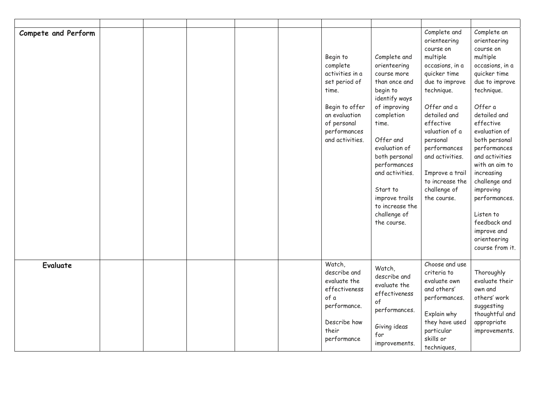| Compete and Perform |  |  | Begin to<br>complete<br>activities in a<br>set period of<br>time.<br>Begin to offer<br>an evaluation<br>of personal<br>performances<br>and activities. | Complete and<br>orienteering<br>course more<br>than once and<br>begin to<br>identify ways<br>of improving<br>completion<br>time.<br>Offer and<br>evaluation of<br>both personal<br>performances<br>and activities.<br>Start to<br>improve trails<br>to increase the<br>challenge of<br>the course. | Complete and<br>orienteering<br>course on<br>multiple<br>occasions, in a<br>quicker time<br>due to improve<br>technique.<br>Offer and a<br>detailed and<br>effective<br>valuation of a<br>personal<br>performances<br>and activities.<br>Improve a trail<br>to increase the<br>challenge of<br>the course. | Complete an<br>orienteering<br>course on<br>multiple<br>occasions, in a<br>quicker time<br>due to improve<br>technique.<br>Offer a<br>detailed and<br>effective<br>evaluation of<br>both personal<br>performances<br>and activities<br>with an aim to<br>increasing<br>challenge and<br>improving<br>performances.<br>Listen to<br>feedback and<br>improve and<br>orienteering<br>course from it. |
|---------------------|--|--|--------------------------------------------------------------------------------------------------------------------------------------------------------|----------------------------------------------------------------------------------------------------------------------------------------------------------------------------------------------------------------------------------------------------------------------------------------------------|------------------------------------------------------------------------------------------------------------------------------------------------------------------------------------------------------------------------------------------------------------------------------------------------------------|---------------------------------------------------------------------------------------------------------------------------------------------------------------------------------------------------------------------------------------------------------------------------------------------------------------------------------------------------------------------------------------------------|
| <b>Evaluate</b>     |  |  | Watch,<br>describe and<br>evaluate the<br>effectiveness<br>of a<br>performance.<br>Describe how<br>their                                               | Watch,<br>describe and<br>evaluate the<br>effectiveness<br>of<br>performances.<br>Giving ideas                                                                                                                                                                                                     | Choose and use<br>criteria to<br>evaluate own<br>and others'<br>performances.<br>Explain why<br>they have used<br>particular                                                                                                                                                                               | Thoroughly<br>evaluate their<br>own and<br>others' work<br>suggesting<br>thoughtful and<br>appropriate<br>improvements.                                                                                                                                                                                                                                                                           |
|                     |  |  | performance                                                                                                                                            | for<br>improvements.                                                                                                                                                                                                                                                                               | skills or<br>techniques,                                                                                                                                                                                                                                                                                   |                                                                                                                                                                                                                                                                                                                                                                                                   |